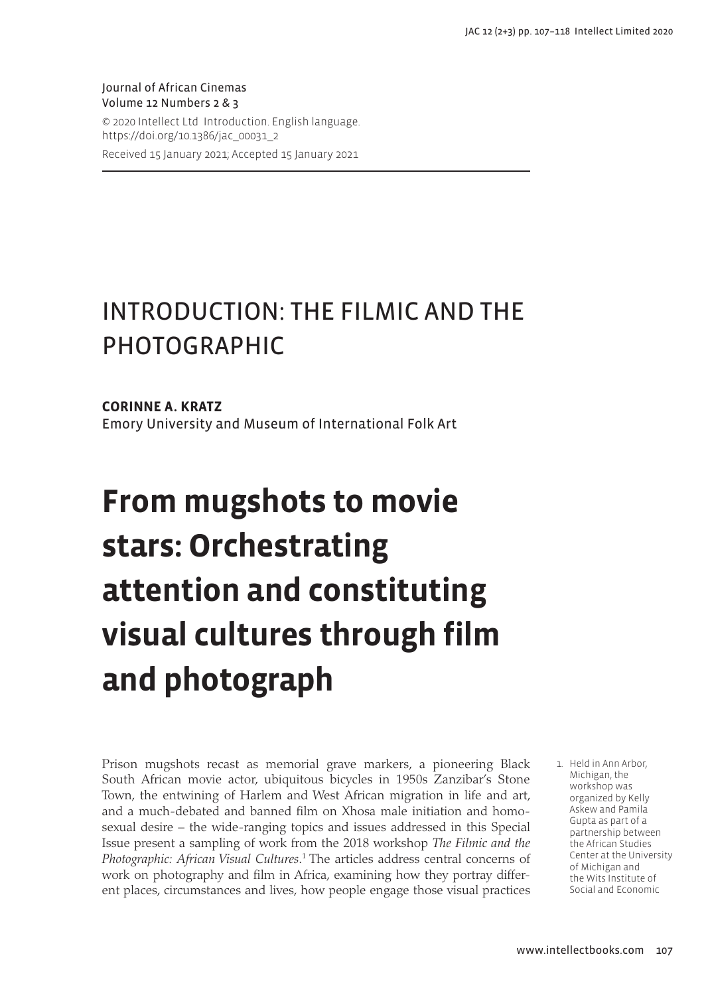Journal of African Cinemas Volume 12 Numbers 2 & 3 © 2020 Intellect Ltd Introduction. English language. https://doi.org/10.1386/jac\_00031\_2 Received 15 January 2021; Accepted 15 January 2021

# INTRODUCTION: THE FILMIC AND THE PHOTOGRAPHIC

**CORINNE A. KRATZ** Emory University and Museum of International Folk Art

# **From mugshots to movie stars: Orchestrating attention and constituting visual cultures through film and photograph**

Prison mugshots recast as memorial grave markers, a pioneering Black South African movie actor, ubiquitous bicycles in 1950s Zanzibar's Stone Town, the entwining of Harlem and West African migration in life and art, and a much-debated and banned film on Xhosa male initiation and homosexual desire – the wide-ranging topics and issues addressed in this Special Issue present a sampling of work from the 2018 workshop *The Filmic and the*  Photographic: African Visual Cultures.<sup>1</sup> The articles address central concerns of work on photography and film in Africa, examining how they portray different places, circumstances and lives, how people engage those visual practices 1. Held in Ann Arbor, Michigan, the workshop was organized by Kelly Askew and Pamila Gupta as part of a partnership between the African Studies Center at the University of Michigan and the Wits Institute of Social and Economic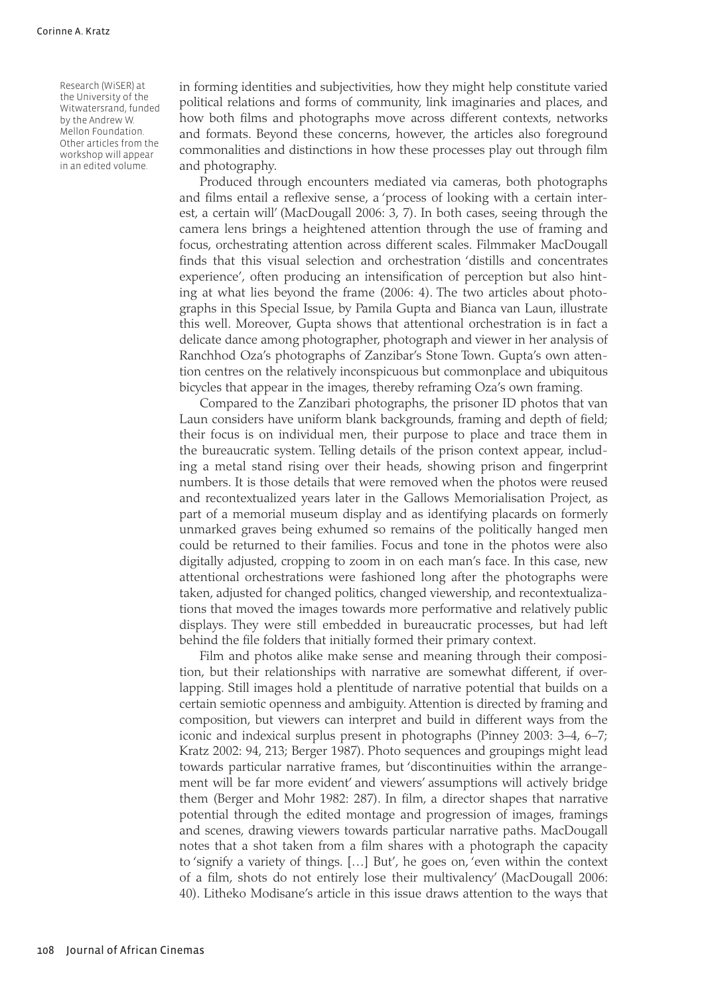Research (WiSER) at the University of the Witwatersrand, funded by the Andrew W. Mellon Foundation. Other articles from the workshop will appear in an edited volume.

in forming identities and subjectivities, how they might help constitute varied political relations and forms of community, link imaginaries and places, and how both films and photographs move across different contexts, networks and formats. Beyond these concerns, however, the articles also foreground commonalities and distinctions in how these processes play out through film and photography.

Produced through encounters mediated via cameras, both photographs and films entail a reflexive sense, a 'process of looking with a certain interest, a certain will' (MacDougall 2006: 3, 7). In both cases, seeing through the camera lens brings a heightened attention through the use of framing and focus, orchestrating attention across different scales. Filmmaker MacDougall finds that this visual selection and orchestration 'distills and concentrates experience', often producing an intensification of perception but also hinting at what lies beyond the frame (2006: 4). The two articles about photographs in this Special Issue, by Pamila Gupta and Bianca van Laun, illustrate this well. Moreover, Gupta shows that attentional orchestration is in fact a delicate dance among photographer, photograph and viewer in her analysis of Ranchhod Oza's photographs of Zanzibar's Stone Town. Gupta's own attention centres on the relatively inconspicuous but commonplace and ubiquitous bicycles that appear in the images, thereby reframing Oza's own framing.

Compared to the Zanzibari photographs, the prisoner ID photos that van Laun considers have uniform blank backgrounds, framing and depth of field; their focus is on individual men, their purpose to place and trace them in the bureaucratic system. Telling details of the prison context appear, including a metal stand rising over their heads, showing prison and fingerprint numbers. It is those details that were removed when the photos were reused and recontextualized years later in the Gallows Memorialisation Project, as part of a memorial museum display and as identifying placards on formerly unmarked graves being exhumed so remains of the politically hanged men could be returned to their families. Focus and tone in the photos were also digitally adjusted, cropping to zoom in on each man's face. In this case, new attentional orchestrations were fashioned long after the photographs were taken, adjusted for changed politics, changed viewership, and recontextualizations that moved the images towards more performative and relatively public displays. They were still embedded in bureaucratic processes, but had left behind the file folders that initially formed their primary context.

Film and photos alike make sense and meaning through their composition, but their relationships with narrative are somewhat different, if overlapping. Still images hold a plentitude of narrative potential that builds on a certain semiotic openness and ambiguity. Attention is directed by framing and composition, but viewers can interpret and build in different ways from the iconic and indexical surplus present in photographs (Pinney 2003: 3–4, 6–7; Kratz 2002: 94, 213; Berger 1987). Photo sequences and groupings might lead towards particular narrative frames, but 'discontinuities within the arrangement will be far more evident' and viewers' assumptions will actively bridge them (Berger and Mohr 1982: 287). In film, a director shapes that narrative potential through the edited montage and progression of images, framings and scenes, drawing viewers towards particular narrative paths. MacDougall notes that a shot taken from a film shares with a photograph the capacity to 'signify a variety of things. […] But', he goes on, 'even within the context of a film, shots do not entirely lose their multivalency' (MacDougall 2006: 40). Litheko Modisane's article in this issue draws attention to the ways that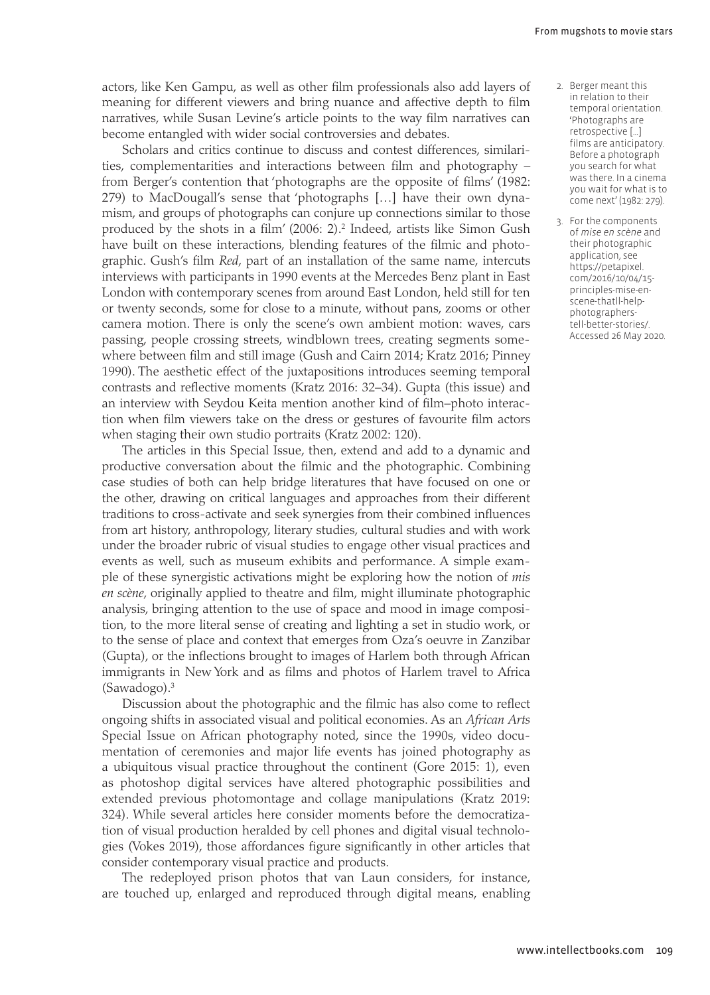actors, like Ken Gampu, as well as other film professionals also add layers of meaning for different viewers and bring nuance and affective depth to film narratives, while Susan Levine's article points to the way film narratives can become entangled with wider social controversies and debates.

Scholars and critics continue to discuss and contest differences, similarities, complementarities and interactions between film and photography – from Berger's contention that 'photographs are the opposite of films' (1982: 279) to MacDougall's sense that 'photographs […] have their own dynamism, and groups of photographs can conjure up connections similar to those produced by the shots in a film' (2006: 2).<sup>2</sup> Indeed, artists like Simon Gush have built on these interactions, blending features of the filmic and photographic. Gush's film *Red*, part of an installation of the same name, intercuts interviews with participants in 1990 events at the Mercedes Benz plant in East London with contemporary scenes from around East London, held still for ten or twenty seconds, some for close to a minute, without pans, zooms or other camera motion. There is only the scene's own ambient motion: waves, cars passing, people crossing streets, windblown trees, creating segments somewhere between film and still image (Gush and Cairn 2014; Kratz 2016; Pinney 1990). The aesthetic effect of the juxtapositions introduces seeming temporal contrasts and reflective moments (Kratz 2016: 32–34). Gupta (this issue) and an interview with Seydou Keita mention another kind of film–photo interaction when film viewers take on the dress or gestures of favourite film actors when staging their own studio portraits (Kratz 2002: 120).

The articles in this Special Issue, then, extend and add to a dynamic and productive conversation about the filmic and the photographic. Combining case studies of both can help bridge literatures that have focused on one or the other, drawing on critical languages and approaches from their different traditions to cross-activate and seek synergies from their combined influences from art history, anthropology, literary studies, cultural studies and with work under the broader rubric of visual studies to engage other visual practices and events as well, such as museum exhibits and performance. A simple example of these synergistic activations might be exploring how the notion of *mis en scène*, originally applied to theatre and film, might illuminate photographic analysis, bringing attention to the use of space and mood in image composition, to the more literal sense of creating and lighting a set in studio work, or to the sense of place and context that emerges from Oza's oeuvre in Zanzibar (Gupta), or the inflections brought to images of Harlem both through African immigrants in New York and as films and photos of Harlem travel to Africa (Sawadogo).3

Discussion about the photographic and the filmic has also come to reflect ongoing shifts in associated visual and political economies. As an *African Arts* Special Issue on African photography noted, since the 1990s, video documentation of ceremonies and major life events has joined photography as a ubiquitous visual practice throughout the continent (Gore 2015: 1), even as photoshop digital services have altered photographic possibilities and extended previous photomontage and collage manipulations (Kratz 2019: 324). While several articles here consider moments before the democratization of visual production heralded by cell phones and digital visual technologies (Vokes 2019), those affordances figure significantly in other articles that consider contemporary visual practice and products.

The redeployed prison photos that van Laun considers, for instance, are touched up, enlarged and reproduced through digital means, enabling

- 2. Berger meant this in relation to their temporal orientation. 'Photographs are retrospective […] films are anticipatory. Before a photograph you search for what was there. In a cinema you wait for what is to come next' (1982: 279).
- 3. For the components of *mise en scène* and their photographic application, see [https://petapixel.](https://petapixel.com/2016/10/04/15-principles-mise-en-scene-thatll-help-photographers-tell-better-stories/) [com/2016/10/04/15](https://petapixel.com/2016/10/04/15-principles-mise-en-scene-thatll-help-photographers-tell-better-stories/) [principles-mise-en](https://petapixel.com/2016/10/04/15-principles-mise-en-scene-thatll-help-photographers-tell-better-stories/)[scene-thatll-help](https://petapixel.com/2016/10/04/15-principles-mise-en-scene-thatll-help-photographers-tell-better-stories/)[photographers](https://petapixel.com/2016/10/04/15-principles-mise-en-scene-thatll-help-photographers-tell-better-stories/)[tell-better-stories/](https://petapixel.com/2016/10/04/15-principles-mise-en-scene-thatll-help-photographers-tell-better-stories/). Accessed 26 May 2020.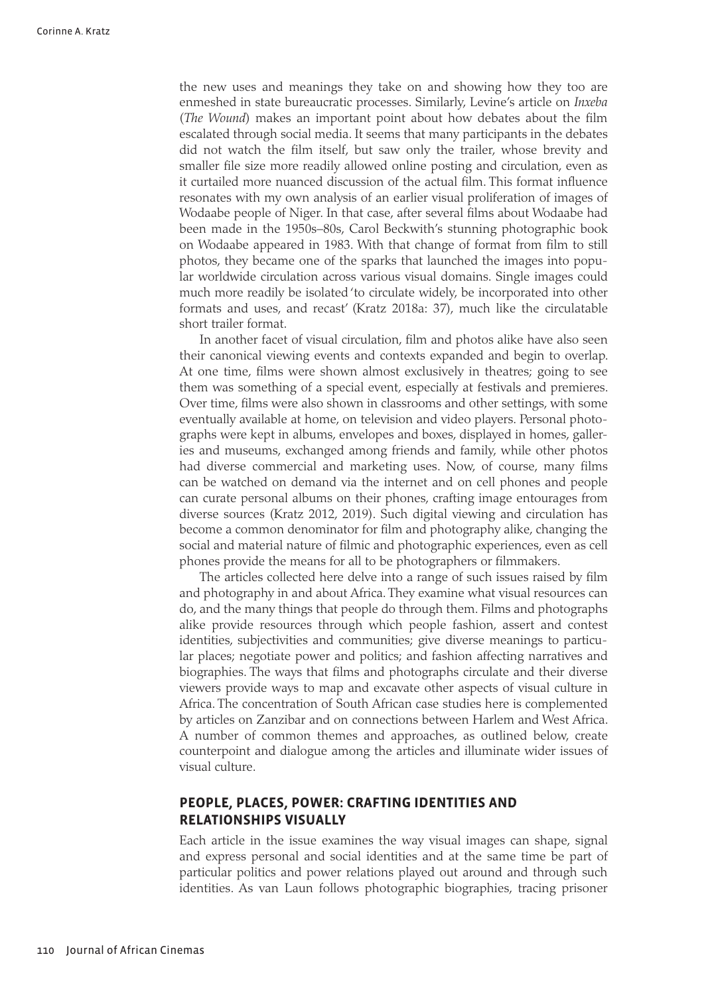the new uses and meanings they take on and showing how they too are enmeshed in state bureaucratic processes. Similarly, Levine's article on *Inxeba* (*The Wound*) makes an important point about how debates about the film escalated through social media. It seems that many participants in the debates did not watch the film itself, but saw only the trailer, whose brevity and smaller file size more readily allowed online posting and circulation, even as it curtailed more nuanced discussion of the actual film. This format influence resonates with my own analysis of an earlier visual proliferation of images of Wodaabe people of Niger. In that case, after several films about Wodaabe had been made in the 1950s–80s, Carol Beckwith's stunning photographic book on Wodaabe appeared in 1983. With that change of format from film to still photos, they became one of the sparks that launched the images into popular worldwide circulation across various visual domains. Single images could much more readily be isolated 'to circulate widely, be incorporated into other formats and uses, and recast' (Kratz 2018a: 37), much like the circulatable short trailer format.

In another facet of visual circulation, film and photos alike have also seen their canonical viewing events and contexts expanded and begin to overlap. At one time, films were shown almost exclusively in theatres; going to see them was something of a special event, especially at festivals and premieres. Over time, films were also shown in classrooms and other settings, with some eventually available at home, on television and video players. Personal photographs were kept in albums, envelopes and boxes, displayed in homes, galleries and museums, exchanged among friends and family, while other photos had diverse commercial and marketing uses. Now, of course, many films can be watched on demand via the internet and on cell phones and people can curate personal albums on their phones, crafting image entourages from diverse sources (Kratz 2012, 2019). Such digital viewing and circulation has become a common denominator for film and photography alike, changing the social and material nature of filmic and photographic experiences, even as cell phones provide the means for all to be photographers or filmmakers.

The articles collected here delve into a range of such issues raised by film and photography in and about Africa. They examine what visual resources can do, and the many things that people do through them. Films and photographs alike provide resources through which people fashion, assert and contest identities, subjectivities and communities; give diverse meanings to particular places; negotiate power and politics; and fashion affecting narratives and biographies. The ways that films and photographs circulate and their diverse viewers provide ways to map and excavate other aspects of visual culture in Africa. The concentration of South African case studies here is complemented by articles on Zanzibar and on connections between Harlem and West Africa. A number of common themes and approaches, as outlined below, create counterpoint and dialogue among the articles and illuminate wider issues of visual culture.

## **PEOPLE, PLACES, POWER: CRAFTING IDENTITIES AND RELATIONSHIPS VISUALLY**

Each article in the issue examines the way visual images can shape, signal and express personal and social identities and at the same time be part of particular politics and power relations played out around and through such identities. As van Laun follows photographic biographies, tracing prisoner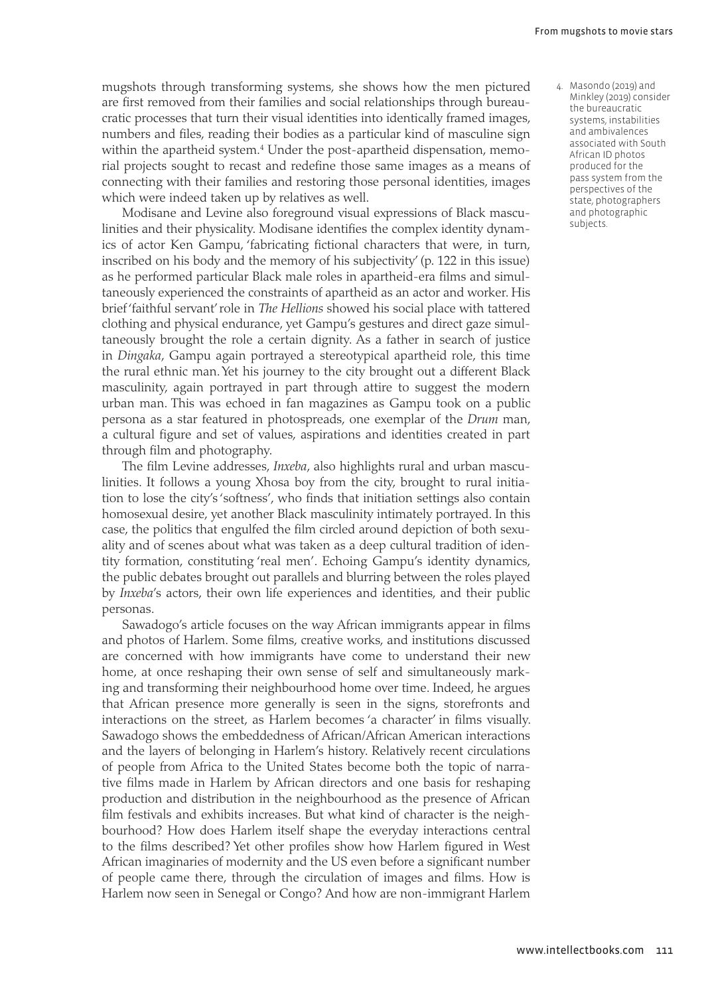- mugshots through transforming systems, she shows how the men pictured are first removed from their families and social relationships through bureaucratic processes that turn their visual identities into identically framed images, numbers and files, reading their bodies as a particular kind of masculine sign within the apartheid system.<sup>4</sup> Under the post-apartheid dispensation, memorial projects sought to recast and redefine those same images as a means of connecting with their families and restoring those personal identities, images which were indeed taken up by relatives as well.
- Modisane and Levine also foreground visual expressions of Black masculinities and their physicality. Modisane identifies the complex identity dynamics of actor Ken Gampu, 'fabricating fictional characters that were, in turn, inscribed on his body and the memory of his subjectivity' (p. 122 in this issue) as he performed particular Black male roles in apartheid-era films and simultaneously experienced the constraints of apartheid as an actor and worker. His brief 'faithful servant' role in *The Hellions* showed his social place with tattered clothing and physical endurance, yet Gampu's gestures and direct gaze simultaneously brought the role a certain dignity. As a father in search of justice in *Dingaka*, Gampu again portrayed a stereotypical apartheid role, this time the rural ethnic man. Yet his journey to the city brought out a different Black masculinity, again portrayed in part through attire to suggest the modern urban man. This was echoed in fan magazines as Gampu took on a public persona as a star featured in photospreads, one exemplar of the *Drum* man, a cultural figure and set of values, aspirations and identities created in part through film and photography.
- The film Levine addresses, *Inxeba*, also highlights rural and urban masculinities. It follows a young Xhosa boy from the city, brought to rural initiation to lose the city's 'softness', who finds that initiation settings also contain homosexual desire, yet another Black masculinity intimately portrayed. In this case, the politics that engulfed the film circled around depiction of both sexuality and of scenes about what was taken as a deep cultural tradition of identity formation, constituting 'real men'. Echoing Gampu's identity dynamics, the public debates brought out parallels and blurring between the roles played by *Inxeba*'s actors, their own life experiences and identities, and their public personas.
- Sawadogo's article focuses on the way African immigrants appear in films and photos of Harlem. Some films, creative works, and institutions discussed are concerned with how immigrants have come to understand their new home, at once reshaping their own sense of self and simultaneously marking and transforming their neighbourhood home over time. Indeed, he argues that African presence more generally is seen in the signs, storefronts and interactions on the street, as Harlem becomes 'a character' in films visually. Sawadogo shows the embeddedness of African/African American interactions and the layers of belonging in Harlem's history. Relatively recent circulations of people from Africa to the United States become both the topic of narrative films made in Harlem by African directors and one basis for reshaping production and distribution in the neighbourhood as the presence of African film festivals and exhibits increases. But what kind of character is the neighbourhood? How does Harlem itself shape the everyday interactions central to the films described? Yet other profiles show how Harlem figured in West African imaginaries of modernity and the US even before a significant number of people came there, through the circulation of images and films. How is Harlem now seen in Senegal or Congo? And how are non-immigrant Harlem

4. Masondo (2019) and Minkley (2019) consider the bureaucratic systems, instabilities and ambivalences associated with South African ID photos produced for the pass system from the perspectives of the state, photographers and photographic subjects.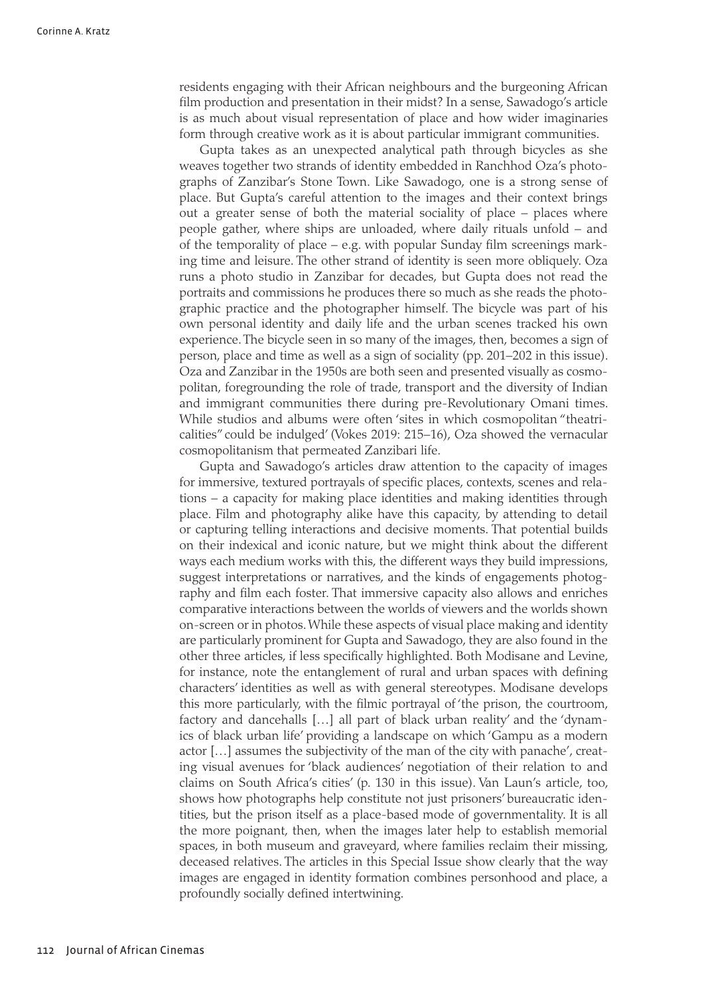residents engaging with their African neighbours and the burgeoning African film production and presentation in their midst? In a sense, Sawadogo's article is as much about visual representation of place and how wider imaginaries form through creative work as it is about particular immigrant communities.

Gupta takes as an unexpected analytical path through bicycles as she weaves together two strands of identity embedded in Ranchhod Oza's photographs of Zanzibar's Stone Town. Like Sawadogo, one is a strong sense of place. But Gupta's careful attention to the images and their context brings out a greater sense of both the material sociality of place – places where people gather, where ships are unloaded, where daily rituals unfold – and of the temporality of place – e.g. with popular Sunday film screenings marking time and leisure. The other strand of identity is seen more obliquely. Oza runs a photo studio in Zanzibar for decades, but Gupta does not read the portraits and commissions he produces there so much as she reads the photographic practice and the photographer himself. The bicycle was part of his own personal identity and daily life and the urban scenes tracked his own experience. The bicycle seen in so many of the images, then, becomes a sign of person, place and time as well as a sign of sociality (pp. 201–202 in this issue). Oza and Zanzibar in the 1950s are both seen and presented visually as cosmopolitan, foregrounding the role of trade, transport and the diversity of Indian and immigrant communities there during pre-Revolutionary Omani times. While studios and albums were often 'sites in which cosmopolitan "theatricalities" could be indulged' (Vokes 2019: 215–16), Oza showed the vernacular cosmopolitanism that permeated Zanzibari life.

Gupta and Sawadogo's articles draw attention to the capacity of images for immersive, textured portrayals of specific places, contexts, scenes and relations – a capacity for making place identities and making identities through place. Film and photography alike have this capacity, by attending to detail or capturing telling interactions and decisive moments. That potential builds on their indexical and iconic nature, but we might think about the different ways each medium works with this, the different ways they build impressions, suggest interpretations or narratives, and the kinds of engagements photography and film each foster. That immersive capacity also allows and enriches comparative interactions between the worlds of viewers and the worlds shown on-screen or in photos. While these aspects of visual place making and identity are particularly prominent for Gupta and Sawadogo, they are also found in the other three articles, if less specifically highlighted. Both Modisane and Levine, for instance, note the entanglement of rural and urban spaces with defining characters' identities as well as with general stereotypes. Modisane develops this more particularly, with the filmic portrayal of 'the prison, the courtroom, factory and dancehalls […] all part of black urban reality' and the 'dynamics of black urban life' providing a landscape on which 'Gampu as a modern actor […] assumes the subjectivity of the man of the city with panache', creating visual avenues for 'black audiences' negotiation of their relation to and claims on South Africa's cities' (p. 130 in this issue). Van Laun's article, too, shows how photographs help constitute not just prisoners' bureaucratic identities, but the prison itself as a place-based mode of governmentality. It is all the more poignant, then, when the images later help to establish memorial spaces, in both museum and graveyard, where families reclaim their missing, deceased relatives. The articles in this Special Issue show clearly that the way images are engaged in identity formation combines personhood and place, a profoundly socially defined intertwining.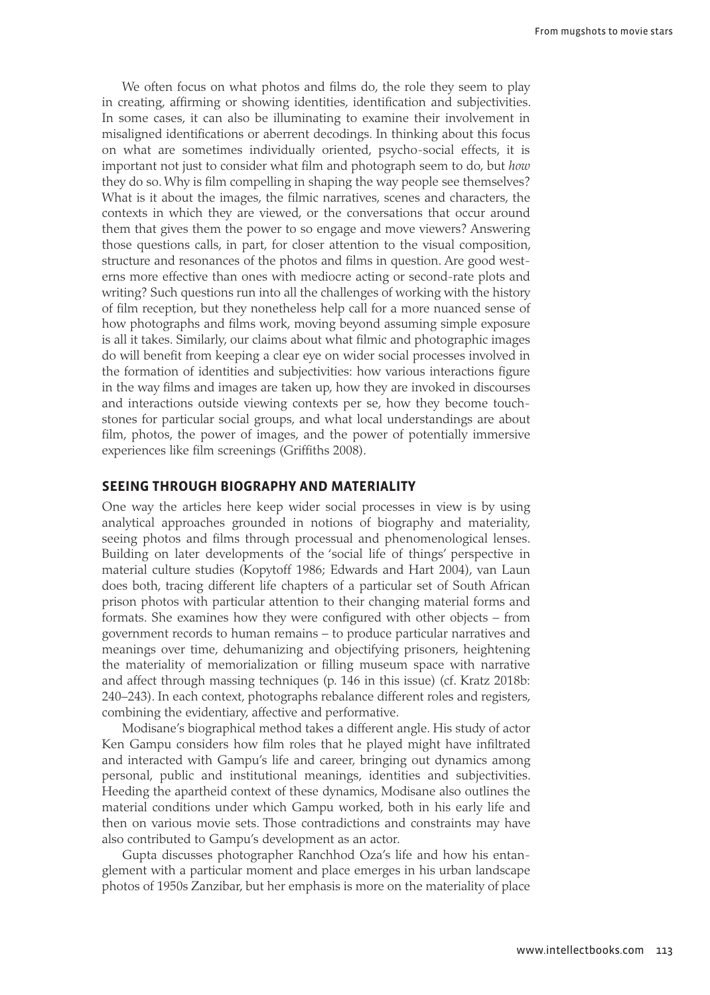We often focus on what photos and films do, the role they seem to play in creating, affirming or showing identities, identification and subjectivities. In some cases, it can also be illuminating to examine their involvement in misaligned identifications or aberrent decodings. In thinking about this focus on what are sometimes individually oriented, psycho-social effects, it is important not just to consider what film and photograph seem to do, but *how* they do so. Why is film compelling in shaping the way people see themselves? What is it about the images, the filmic narratives, scenes and characters, the contexts in which they are viewed, or the conversations that occur around them that gives them the power to so engage and move viewers? Answering those questions calls, in part, for closer attention to the visual composition, structure and resonances of the photos and films in question. Are good westerns more effective than ones with mediocre acting or second-rate plots and writing? Such questions run into all the challenges of working with the history of film reception, but they nonetheless help call for a more nuanced sense of how photographs and films work, moving beyond assuming simple exposure is all it takes. Similarly, our claims about what filmic and photographic images do will benefit from keeping a clear eye on wider social processes involved in the formation of identities and subjectivities: how various interactions figure in the way films and images are taken up, how they are invoked in discourses and interactions outside viewing contexts per se, how they become touchstones for particular social groups, and what local understandings are about film, photos, the power of images, and the power of potentially immersive experiences like film screenings (Griffiths 2008).

#### **SEEING THROUGH BIOGRAPHY AND MATERIALITY**

One way the articles here keep wider social processes in view is by using analytical approaches grounded in notions of biography and materiality, seeing photos and films through processual and phenomenological lenses. Building on later developments of the 'social life of things' perspective in material culture studies (Kopytoff 1986; Edwards and Hart 2004), van Laun does both, tracing different life chapters of a particular set of South African prison photos with particular attention to their changing material forms and formats. She examines how they were configured with other objects – from government records to human remains – to produce particular narratives and meanings over time, dehumanizing and objectifying prisoners, heightening the materiality of memorialization or filling museum space with narrative and affect through massing techniques (p. 146 in this issue) (cf. Kratz 2018b: 240–243). In each context, photographs rebalance different roles and registers, combining the evidentiary, affective and performative.

Modisane's biographical method takes a different angle. His study of actor Ken Gampu considers how film roles that he played might have infiltrated and interacted with Gampu's life and career, bringing out dynamics among personal, public and institutional meanings, identities and subjectivities. Heeding the apartheid context of these dynamics, Modisane also outlines the material conditions under which Gampu worked, both in his early life and then on various movie sets. Those contradictions and constraints may have also contributed to Gampu's development as an actor.

Gupta discusses photographer Ranchhod Oza's life and how his entanglement with a particular moment and place emerges in his urban landscape photos of 1950s Zanzibar, but her emphasis is more on the materiality of place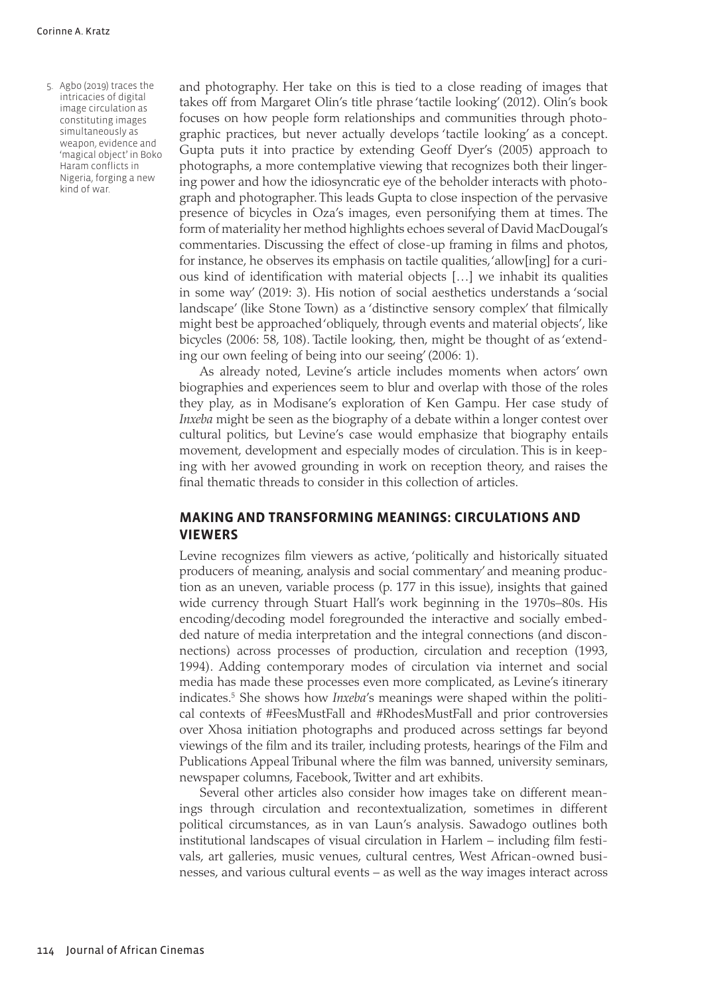5. Agbo (2019) traces the intricacies of digital image circulation as constituting images simultaneously as weapon, evidence and 'magical object' in Boko Haram conflicts in Nigeria, forging a new kind of war.

and photography. Her take on this is tied to a close reading of images that takes off from Margaret Olin's title phrase 'tactile looking' (2012). Olin's book focuses on how people form relationships and communities through photographic practices, but never actually develops 'tactile looking' as a concept. Gupta puts it into practice by extending Geoff Dyer's (2005) approach to photographs, a more contemplative viewing that recognizes both their lingering power and how the idiosyncratic eye of the beholder interacts with photograph and photographer. This leads Gupta to close inspection of the pervasive presence of bicycles in Oza's images, even personifying them at times. The form of materiality her method highlights echoes several of David MacDougal's commentaries. Discussing the effect of close-up framing in films and photos, for instance, he observes its emphasis on tactile qualities, 'allow[ing] for a curious kind of identification with material objects […] we inhabit its qualities in some way' (2019: 3). His notion of social aesthetics understands a 'social landscape' (like Stone Town) as a 'distinctive sensory complex' that filmically might best be approached 'obliquely, through events and material objects', like bicycles (2006: 58, 108). Tactile looking, then, might be thought of as 'extending our own feeling of being into our seeing' (2006: 1).

As already noted, Levine's article includes moments when actors' own biographies and experiences seem to blur and overlap with those of the roles they play, as in Modisane's exploration of Ken Gampu. Her case study of *Inxeba* might be seen as the biography of a debate within a longer contest over cultural politics, but Levine's case would emphasize that biography entails movement, development and especially modes of circulation. This is in keeping with her avowed grounding in work on reception theory, and raises the final thematic threads to consider in this collection of articles.

# **MAKING AND TRANSFORMING MEANINGS: CIRCULATIONS AND VIEWERS**

Levine recognizes film viewers as active, 'politically and historically situated producers of meaning, analysis and social commentary' and meaning production as an uneven, variable process (p. 177 in this issue), insights that gained wide currency through Stuart Hall's work beginning in the 1970s–80s. His encoding/decoding model foregrounded the interactive and socially embedded nature of media interpretation and the integral connections (and disconnections) across processes of production, circulation and reception (1993, 1994). Adding contemporary modes of circulation via internet and social media has made these processes even more complicated, as Levine's itinerary indicates.<sup>5</sup> She shows how *Inxeba'*s meanings were shaped within the political contexts of #FeesMustFall and #RhodesMustFall and prior controversies over Xhosa initiation photographs and produced across settings far beyond viewings of the film and its trailer, including protests, hearings of the Film and Publications Appeal Tribunal where the film was banned, university seminars, newspaper columns, Facebook, Twitter and art exhibits.

Several other articles also consider how images take on different meanings through circulation and recontextualization, sometimes in different political circumstances, as in van Laun's analysis. Sawadogo outlines both institutional landscapes of visual circulation in Harlem – including film festivals, art galleries, music venues, cultural centres, West African-owned businesses, and various cultural events – as well as the way images interact across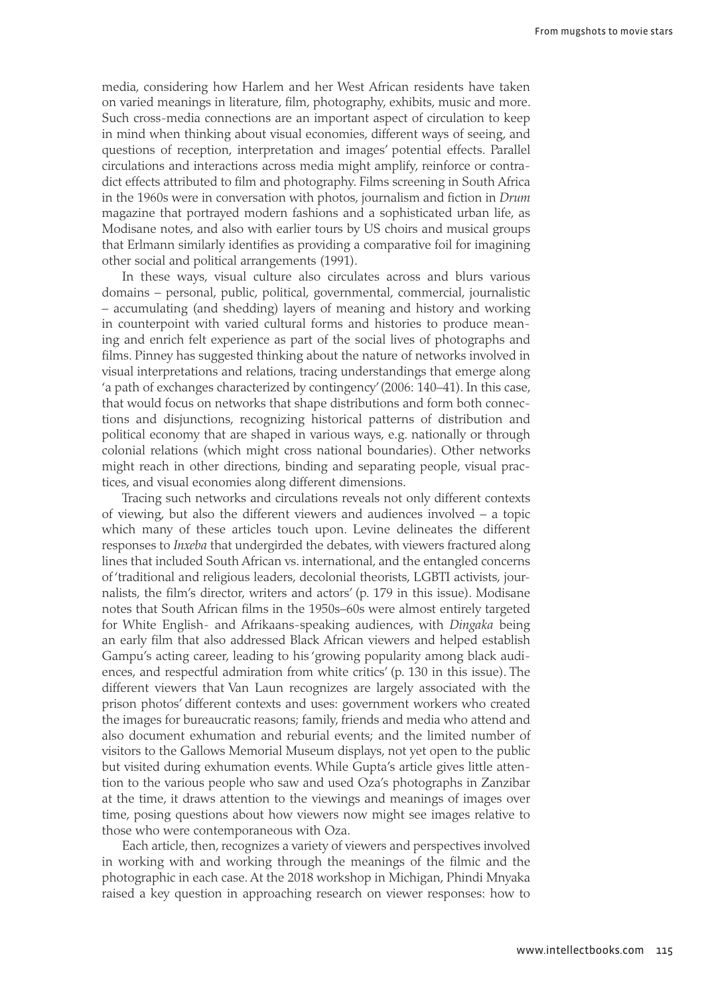media, considering how Harlem and her West African residents have taken on varied meanings in literature, film, photography, exhibits, music and more. Such cross-media connections are an important aspect of circulation to keep in mind when thinking about visual economies, different ways of seeing, and questions of reception, interpretation and images' potential effects. Parallel circulations and interactions across media might amplify, reinforce or contradict effects attributed to film and photography. Films screening in South Africa in the 1960s were in conversation with photos, journalism and fiction in *Drum* magazine that portrayed modern fashions and a sophisticated urban life, as Modisane notes, and also with earlier tours by US choirs and musical groups that Erlmann similarly identifies as providing a comparative foil for imagining other social and political arrangements (1991).

In these ways, visual culture also circulates across and blurs various domains – personal, public, political, governmental, commercial, journalistic – accumulating (and shedding) layers of meaning and history and working in counterpoint with varied cultural forms and histories to produce meaning and enrich felt experience as part of the social lives of photographs and films. Pinney has suggested thinking about the nature of networks involved in visual interpretations and relations, tracing understandings that emerge along 'a path of exchanges characterized by contingency' (2006: 140–41). In this case, that would focus on networks that shape distributions and form both connections and disjunctions, recognizing historical patterns of distribution and political economy that are shaped in various ways, e.g. nationally or through colonial relations (which might cross national boundaries). Other networks might reach in other directions, binding and separating people, visual practices, and visual economies along different dimensions.

Tracing such networks and circulations reveals not only different contexts of viewing, but also the different viewers and audiences involved – a topic which many of these articles touch upon. Levine delineates the different responses to *Inxeba* that undergirded the debates, with viewers fractured along lines that included South African vs. international, and the entangled concerns of 'traditional and religious leaders, decolonial theorists, LGBTI activists, journalists, the film's director, writers and actors' (p. 179 in this issue). Modisane notes that South African films in the 1950s–60s were almost entirely targeted for White English- and Afrikaans-speaking audiences, with *Dingaka* being an early film that also addressed Black African viewers and helped establish Gampu's acting career, leading to his 'growing popularity among black audiences, and respectful admiration from white critics' (p. 130 in this issue). The different viewers that Van Laun recognizes are largely associated with the prison photos' different contexts and uses: government workers who created the images for bureaucratic reasons; family, friends and media who attend and also document exhumation and reburial events; and the limited number of visitors to the Gallows Memorial Museum displays, not yet open to the public but visited during exhumation events. While Gupta's article gives little attention to the various people who saw and used Oza's photographs in Zanzibar at the time, it draws attention to the viewings and meanings of images over time, posing questions about how viewers now might see images relative to those who were contemporaneous with Oza.

Each article, then, recognizes a variety of viewers and perspectives involved in working with and working through the meanings of the filmic and the photographic in each case. At the 2018 workshop in Michigan, Phindi Mnyaka raised a key question in approaching research on viewer responses: how to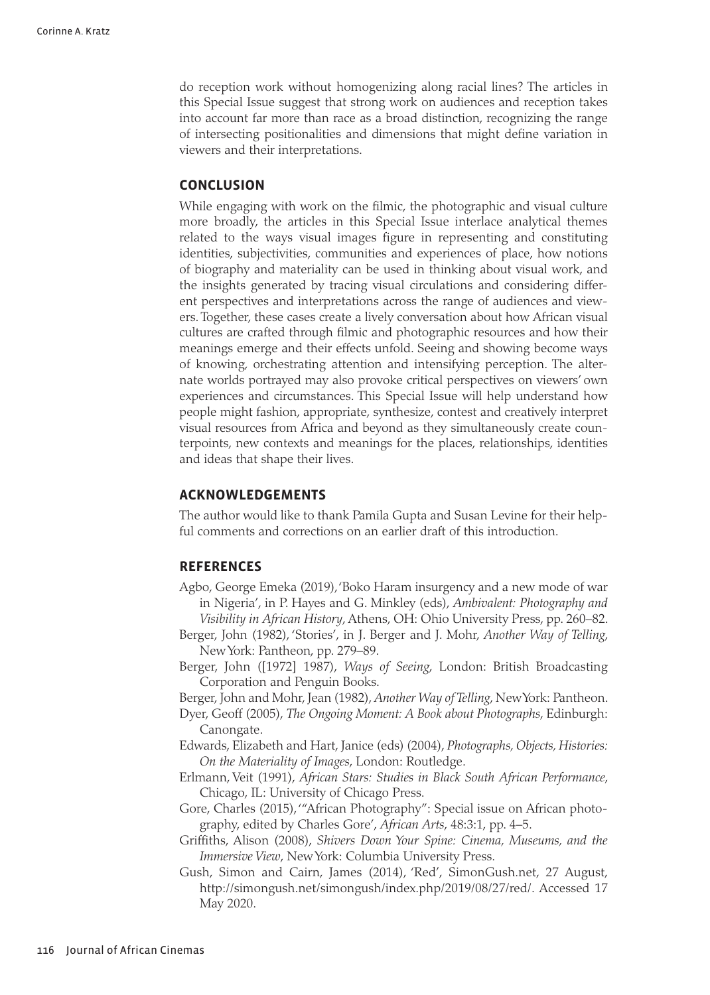do reception work without homogenizing along racial lines? The articles in this Special Issue suggest that strong work on audiences and reception takes into account far more than race as a broad distinction, recognizing the range of intersecting positionalities and dimensions that might define variation in viewers and their interpretations.

### **CONCLUSION**

While engaging with work on the filmic, the photographic and visual culture more broadly, the articles in this Special Issue interlace analytical themes related to the ways visual images figure in representing and constituting identities, subjectivities, communities and experiences of place, how notions of biography and materiality can be used in thinking about visual work, and the insights generated by tracing visual circulations and considering different perspectives and interpretations across the range of audiences and viewers. Together, these cases create a lively conversation about how African visual cultures are crafted through filmic and photographic resources and how their meanings emerge and their effects unfold. Seeing and showing become ways of knowing, orchestrating attention and intensifying perception. The alternate worlds portrayed may also provoke critical perspectives on viewers' own experiences and circumstances. This Special Issue will help understand how people might fashion, appropriate, synthesize, contest and creatively interpret visual resources from Africa and beyond as they simultaneously create counterpoints, new contexts and meanings for the places, relationships, identities and ideas that shape their lives.

### **ACKNOWLEDGEMENTS**

The author would like to thank Pamila Gupta and Susan Levine for their helpful comments and corrections on an earlier draft of this introduction.

#### **REFERENCES**

- Agbo, George Emeka (2019), 'Boko Haram insurgency and a new mode of war in Nigeria', in P. Hayes and G. Minkley (eds), *Ambivalent: Photography and Visibility in African History*, Athens, OH: Ohio University Press, pp. 260–82.
- Berger, John (1982), 'Stories', in J. Berger and J. Mohr, *Another Way of Telling*, New York: Pantheon, pp. 279–89.
- Berger, John ([1972] 1987), *Ways of Seeing*, London: British Broadcasting Corporation and Penguin Books.
- Berger, John and Mohr, Jean (1982), *Another Way of Telling*, New York: Pantheon.
- Dyer, Geoff (2005), *The Ongoing Moment: A Book about Photographs*, Edinburgh: Canongate.
- Edwards, Elizabeth and Hart, Janice (eds) (2004), *Photographs, Objects, Histories: On the Materiality of Images*, London: Routledge.
- Erlmann, Veit (1991), *African Stars: Studies in Black South African Performance*, Chicago, IL: University of Chicago Press.
- Gore, Charles (2015), '"African Photography": Special issue on African photography, edited by Charles Gore', *African Arts*, 48:3:1, pp. 4–5.
- Griffiths, Alison (2008), *Shivers Down Your Spine: Cinema, Museums, and the Immersive View*, New York: Columbia University Press.
- Gush, Simon and Cairn, James (2014), 'Red', SimonGush.net, 27 August, <http://simongush.net/simongush/index.php/2019/08/27/red/>. Accessed 17 May 2020.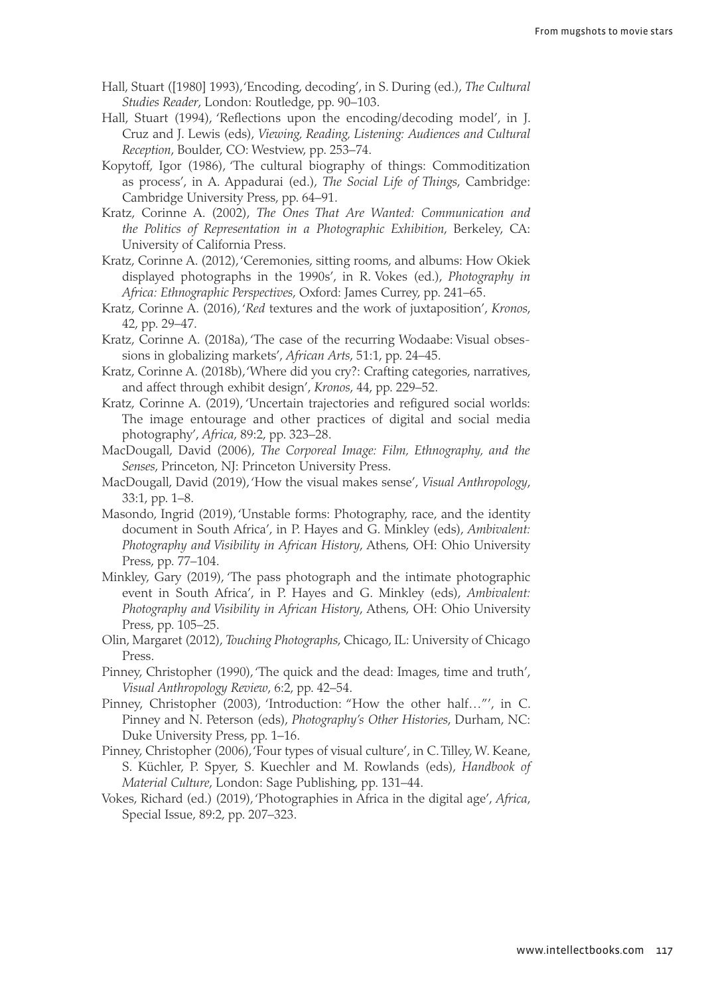- Hall, Stuart ([1980] 1993), 'Encoding, decoding', in S. During (ed.), *The Cultural Studies Reader*, London: Routledge, pp. 90–103.
- Hall, Stuart (1994), 'Reflections upon the encoding/decoding model', in J. Cruz and J. Lewis (eds), *Viewing, Reading, Listening: Audiences and Cultural Reception*, Boulder, CO: Westview, pp. 253–74.
- Kopytoff, Igor (1986), 'The cultural biography of things: Commoditization as process', in A. Appadurai (ed.), *The Social Life of Things*, Cambridge: Cambridge University Press, pp. 64–91.
- Kratz, Corinne A. (2002), *The Ones That Are Wanted: Communication and the Politics of Representation in a Photographic Exhibition*, Berkeley, CA: University of California Press.
- Kratz, Corinne A. (2012), 'Ceremonies, sitting rooms, and albums: How Okiek displayed photographs in the 1990s', in R. Vokes (ed.), *Photography in Africa: Ethnographic Perspectives*, Oxford: James Currey, pp. 241–65.
- Kratz, Corinne A. (2016), '*Red* textures and the work of juxtaposition', *Kronos*, 42, pp. 29–47.
- Kratz, Corinne A. (2018a), 'The case of the recurring Wodaabe: Visual obsessions in globalizing markets', *African Arts*, 51:1, pp. 24–45.
- Kratz, Corinne A. (2018b), 'Where did you cry?: Crafting categories, narratives, and affect through exhibit design', *Kronos*, 44, pp. 229–52.
- Kratz, Corinne A. (2019), 'Uncertain trajectories and refigured social worlds: The image entourage and other practices of digital and social media photography', *Africa*, 89:2, pp. 323–28.
- MacDougall, David (2006), *The Corporeal Image: Film, Ethnography, and the Senses*, Princeton, NJ: Princeton University Press.
- MacDougall, David (2019), 'How the visual makes sense', *Visual Anthropology*, 33:1, pp. 1–8.
- Masondo, Ingrid (2019), 'Unstable forms: Photography, race, and the identity document in South Africa', in P. Hayes and G. Minkley (eds), *Ambivalent: Photography and Visibility in African History*, Athens, OH: Ohio University Press, pp. 77–104.
- Minkley, Gary (2019), 'The pass photograph and the intimate photographic event in South Africa', in P. Hayes and G. Minkley (eds), *Ambivalent: Photography and Visibility in African History*, Athens, OH: Ohio University Press, pp. 105–25.
- Olin, Margaret (2012), *Touching Photographs*, Chicago, IL: University of Chicago Press.
- Pinney, Christopher (1990), 'The quick and the dead: Images, time and truth', *Visual Anthropology Review*, 6:2, pp. 42–54.
- Pinney, Christopher (2003), 'Introduction: "How the other half…"', in C. Pinney and N. Peterson (eds), *Photography's Other Histories*, Durham, NC: Duke University Press, pp. 1–16.
- Pinney, Christopher (2006), 'Four types of visual culture', in C. Tilley, W. Keane, S. Küchler, P. Spyer, S. Kuechler and M. Rowlands (eds), *Handbook of Material Culture*, London: Sage Publishing, pp. 131–44.
- Vokes, Richard (ed.) (2019), 'Photographies in Africa in the digital age', *Africa*, Special Issue, 89:2, pp. 207–323.